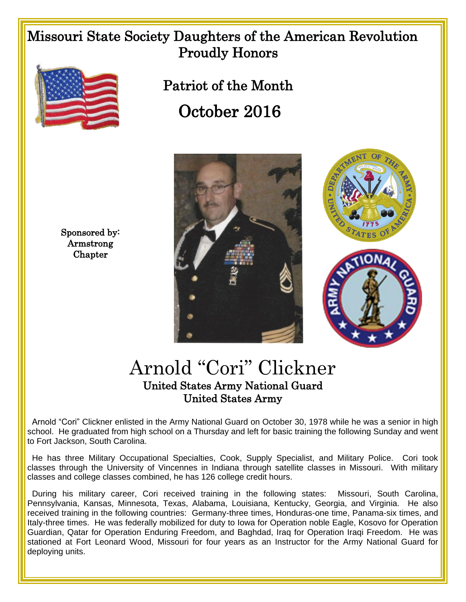## Missouri State Society Daughters of the American Revolution Proudly Honors



Sponsored by: Armstrong **Chapter** 

 Patriot of the Month October 2016





## Arnold "Cori" Clickner United States Army National Guard United States Army

 Arnold "Cori" Clickner enlisted in the Army National Guard on October 30, 1978 while he was a senior in high school. He graduated from high school on a Thursday and left for basic training the following Sunday and went to Fort Jackson, South Carolina.

 He has three Military Occupational Specialties, Cook, Supply Specialist, and Military Police. Cori took classes through the University of Vincennes in Indiana through satellite classes in Missouri. With military classes and college classes combined, he has 126 college credit hours.

 During his military career, Cori received training in the following states: Missouri, South Carolina, Pennsylvania, Kansas, Minnesota, Texas, Alabama, Louisiana, Kentucky, Georgia, and Virginia. He also received training in the following countries: Germany-three times, Honduras-one time, Panama-six times, and Italy-three times. He was federally mobilized for duty to Iowa for Operation noble Eagle, Kosovo for Operation Guardian, Qatar for Operation Enduring Freedom, and Baghdad, Iraq for Operation Iraqi Freedom. He was stationed at Fort Leonard Wood, Missouri for four years as an Instructor for the Army National Guard for deploying units.